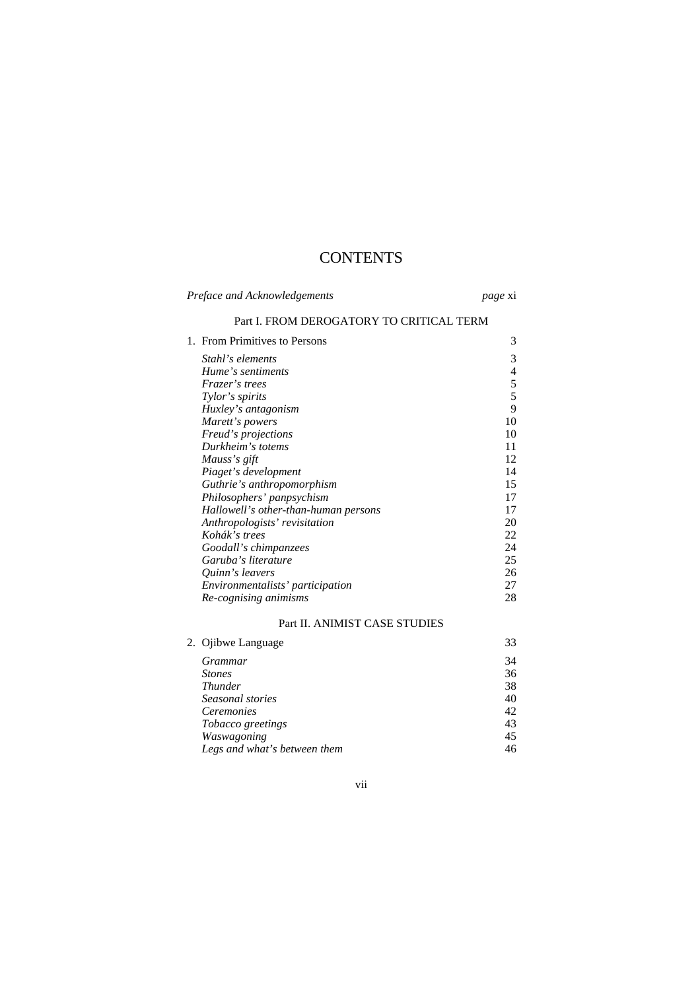## **CONTENTS**

| Preface and Acknowledgements |                                          | <i>page</i> xi |  |
|------------------------------|------------------------------------------|----------------|--|
|                              | Part I. FROM DEROGATORY TO CRITICAL TERM |                |  |
|                              | 1. From Primitives to Persons            | 3              |  |
|                              | Stahl's elements                         | 3              |  |
|                              | Hume's sentiments                        | $\overline{4}$ |  |
|                              | Frazer's trees                           | $\mathfrak s$  |  |
|                              | Tylor's spirits                          | 5              |  |
|                              | Huxley's antagonism                      | 9              |  |
|                              | Marett's powers                          | 10             |  |
|                              | Freud's projections                      | 10             |  |
|                              | Durkheim's totems                        | 11             |  |
|                              | Mauss's gift                             | 12             |  |
|                              | Piaget's development                     | 14             |  |
|                              | Guthrie's anthropomorphism               | 15             |  |
|                              | Philosophers' panpsychism                | 17             |  |
|                              | Hallowell's other-than-human persons     | 17             |  |
|                              | Anthropologists' revisitation            | 20             |  |
|                              | Kohák's trees                            | 22             |  |
|                              | Goodall's chimpanzees                    | 24             |  |
|                              | Garuba's literature                      | 25             |  |
|                              | Quinn's leavers                          | 26             |  |
|                              | Environmentalists' participation         | 27             |  |
|                              | Re-cognising animisms                    | 28             |  |
|                              | Part II. ANIMIST CASE STUDIES            |                |  |
|                              | 2. Ojibwe Language                       | 33             |  |
|                              | <i>Grammar</i>                           | 34             |  |
|                              | <b>Stones</b>                            | 36             |  |
|                              | <b>Thunder</b>                           | 38             |  |
|                              | Seasonal stories                         | 40             |  |
|                              | Ceremonies                               | 42             |  |
|                              | Tobacco greetings                        | 43             |  |
|                              | Waswagoning                              | 45             |  |
|                              | Legs and what's between them             | 46             |  |

vii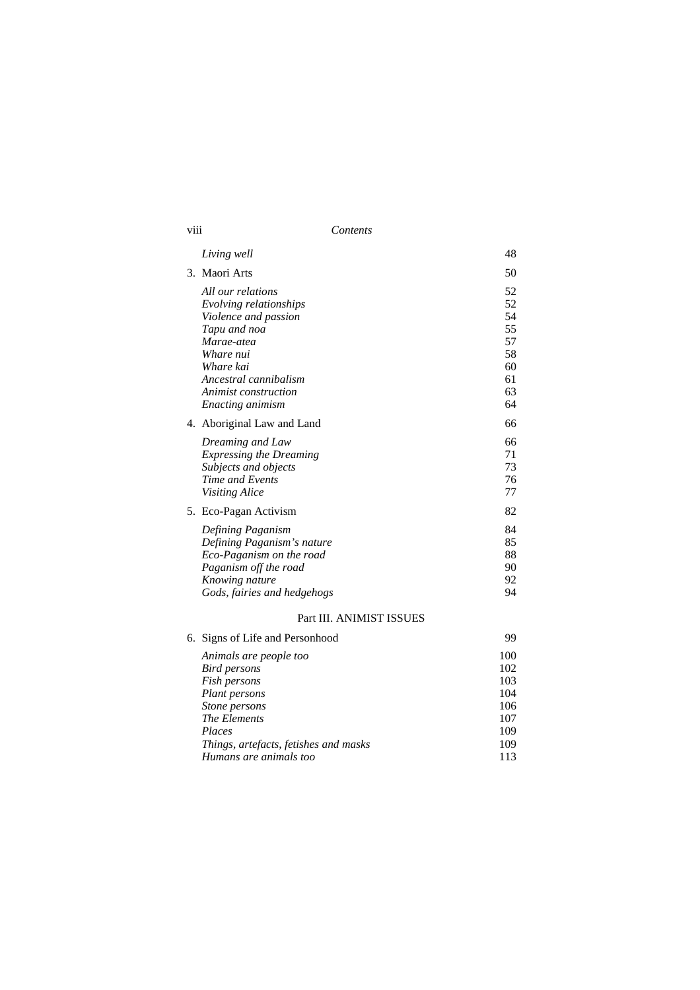| VIII                     | Contents                                                                                                                                                                                                |                                                          |  |  |  |
|--------------------------|---------------------------------------------------------------------------------------------------------------------------------------------------------------------------------------------------------|----------------------------------------------------------|--|--|--|
|                          | Living well                                                                                                                                                                                             | 48                                                       |  |  |  |
|                          | 3. Maori Arts                                                                                                                                                                                           | 50                                                       |  |  |  |
|                          | All our relations<br>Evolving relationships<br>Violence and passion<br>Tapu and noa<br>Marae-atea<br>Whare nui<br>Whare kai<br>Ancestral cannibalism<br><i>Animist construction</i><br>Enacting animism | 52<br>52<br>54<br>55<br>57<br>58<br>60<br>61<br>63<br>64 |  |  |  |
|                          | 4. Aboriginal Law and Land                                                                                                                                                                              | 66                                                       |  |  |  |
|                          | Dreaming and Law<br><b>Expressing the Dreaming</b><br>Subjects and objects<br>Time and Events<br><b>Visiting Alice</b>                                                                                  | 66<br>71<br>73<br>76<br>77                               |  |  |  |
|                          | 5. Eco-Pagan Activism                                                                                                                                                                                   | 82                                                       |  |  |  |
|                          | Defining Paganism<br>Defining Paganism's nature<br>Eco-Paganism on the road<br>Paganism off the road<br>Knowing nature<br>Gods, fairies and hedgehogs                                                   | 84<br>85<br>88<br>90<br>92<br>94                         |  |  |  |
| Part III. ANIMIST ISSUES |                                                                                                                                                                                                         |                                                          |  |  |  |
|                          | 6. Signs of Life and Personhood                                                                                                                                                                         | 99                                                       |  |  |  |
|                          | Animals are people too<br>Bird persons<br>Fish persons<br>Plant persons<br>Stone persons<br>The Elements<br>Places                                                                                      | 100<br>102<br>103<br>104<br>106<br>107<br>109            |  |  |  |

*Things, artefacts, fetishes and masks* 109 *Humans are animals too* 113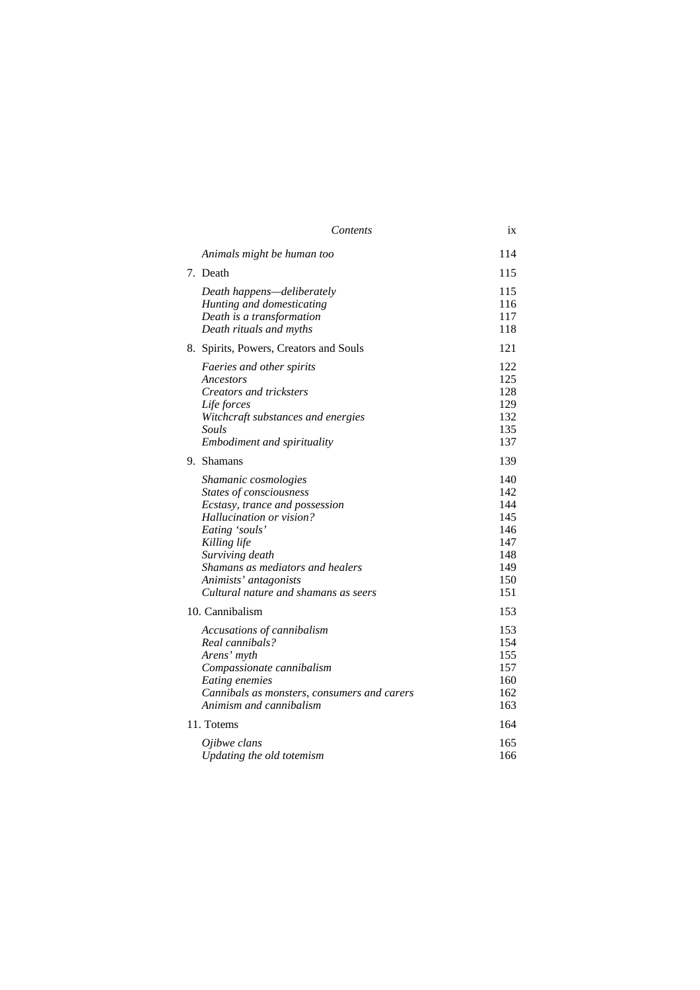|                 | Contents                                                                                                                                                                                                                                                                       | ix                                                                 |  |
|-----------------|--------------------------------------------------------------------------------------------------------------------------------------------------------------------------------------------------------------------------------------------------------------------------------|--------------------------------------------------------------------|--|
|                 | Animals might be human too                                                                                                                                                                                                                                                     | 114                                                                |  |
|                 | 7. Death                                                                                                                                                                                                                                                                       | 115                                                                |  |
|                 | Death happens-deliberately<br>Hunting and domesticating<br>Death is a transformation<br>Death rituals and myths                                                                                                                                                                | 115<br>116<br>117<br>118                                           |  |
|                 | 8. Spirits, Powers, Creators and Souls                                                                                                                                                                                                                                         | 121                                                                |  |
|                 | Faeries and other spirits<br>Ancestors<br>Creators and tricksters<br>Life forces<br>Witchcraft substances and energies<br>Souls<br>Embodiment and spirituality                                                                                                                 | 122<br>125<br>128<br>129<br>132<br>135<br>137                      |  |
|                 | 9. Shamans                                                                                                                                                                                                                                                                     | 139                                                                |  |
|                 | Shamanic cosmologies<br>States of consciousness<br>Ecstasy, trance and possession<br><i>Hallucination or vision?</i><br>Eating 'souls'<br>Killing life<br>Surviving death<br>Shamans as mediators and healers<br>Animists' antagonists<br>Cultural nature and shamans as seers | 140<br>142<br>144<br>145<br>146<br>147<br>148<br>149<br>150<br>151 |  |
| 10. Cannibalism |                                                                                                                                                                                                                                                                                | 153                                                                |  |
|                 | Accusations of cannibalism<br>Real cannibals?<br>Arens' myth<br>Compassionate cannibalism<br>Eating enemies<br>Cannibals as monsters, consumers and carers<br>Animism and cannibalism                                                                                          | 153<br>154<br>155<br>157<br>160<br>162<br>163                      |  |
|                 | 11. Totems                                                                                                                                                                                                                                                                     | 164                                                                |  |
|                 | Ojibwe clans<br>Updating the old totemism                                                                                                                                                                                                                                      | 165<br>166                                                         |  |